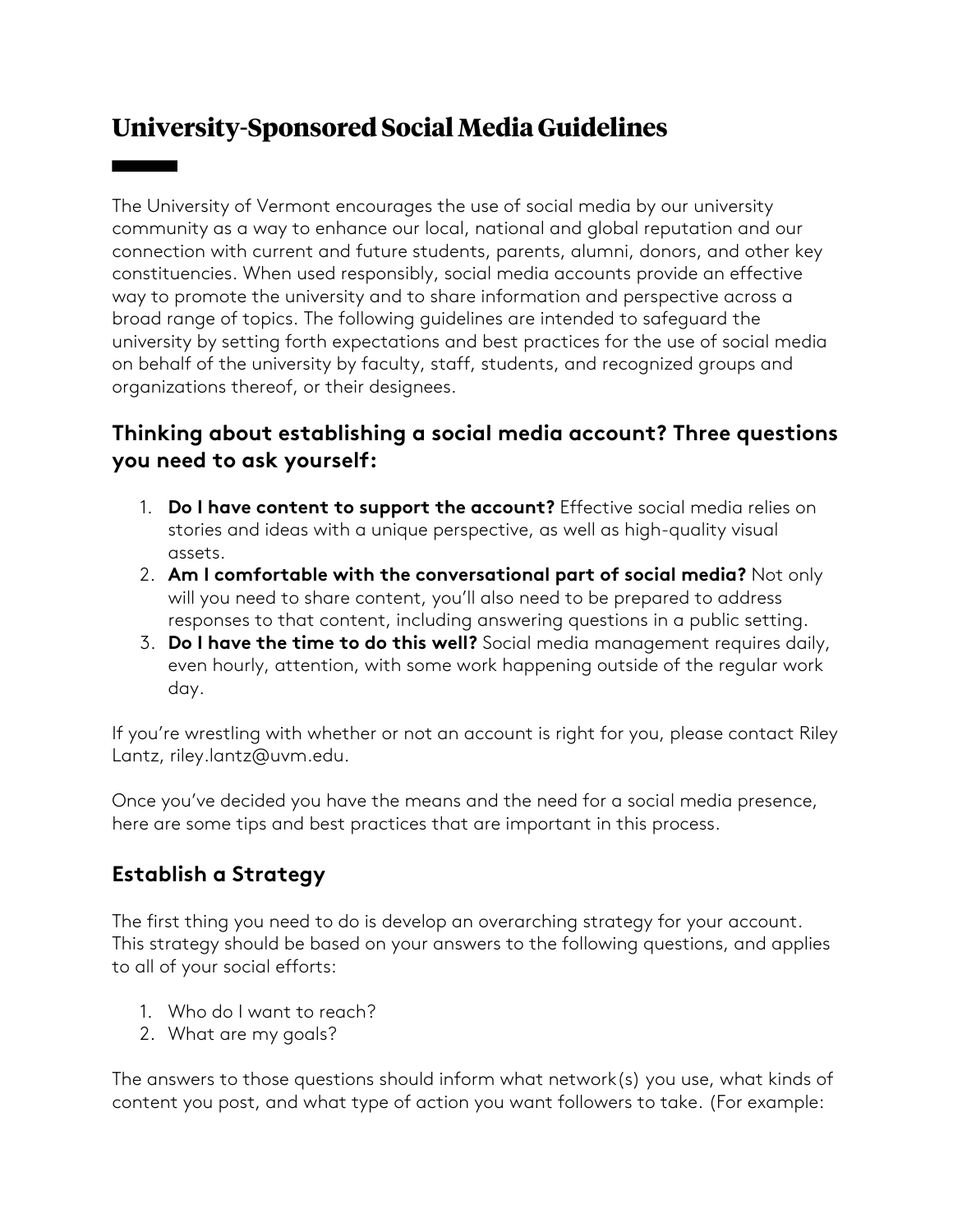# **University-Sponsored Social Media Guidelines**

The University of Vermont encourages the use of social media by our university community as a way to enhance our local, national and global reputation and our connection with current and future students, parents, alumni, donors, and other key constituencies. When used responsibly, social media accounts provide an effective way to promote the university and to share information and perspective across a broad range of topics. The following guidelines are intended to safeguard the university by setting forth expectations and best practices for the use of social media on behalf of the university by faculty, staff, students, and recognized groups and organizations thereof, or their designees.

## **Thinking about establishing a social media account? Three questions you need to ask yourself:**

- 1. **Do I have content to support the account?** Effective social media relies on stories and ideas with a unique perspective, as well as high-quality visual assets.
- 2. **Am I comfortable with the conversational part of social media?** Not only will you need to share content, you'll also need to be prepared to address responses to that content, including answering questions in a public setting.
- 3. **Do I have the time to do this well?** Social media management requires daily, even hourly, attention, with some work happening outside of the regular work day.

If you're wrestling with whether or not an account is right for you, please contact Riley Lantz, [riley.lantz@uvm.edu](mailto:riley.lantz@uvm.edu).

Once you've decided you have the means and the need for a social media presence, here are some tips and best practices that are important in this process.

# **Establish a Strategy**

The first thing you need to do is develop an overarching strategy for your account. This strategy should be based on your answers to the following questions, and applies to all of your social efforts:

- 1. Who do I want to reach?
- 2. What are my goals?

The answers to those questions should inform what network(s) you use, what kinds of content you post, and what type of action you want followers to take. (For example: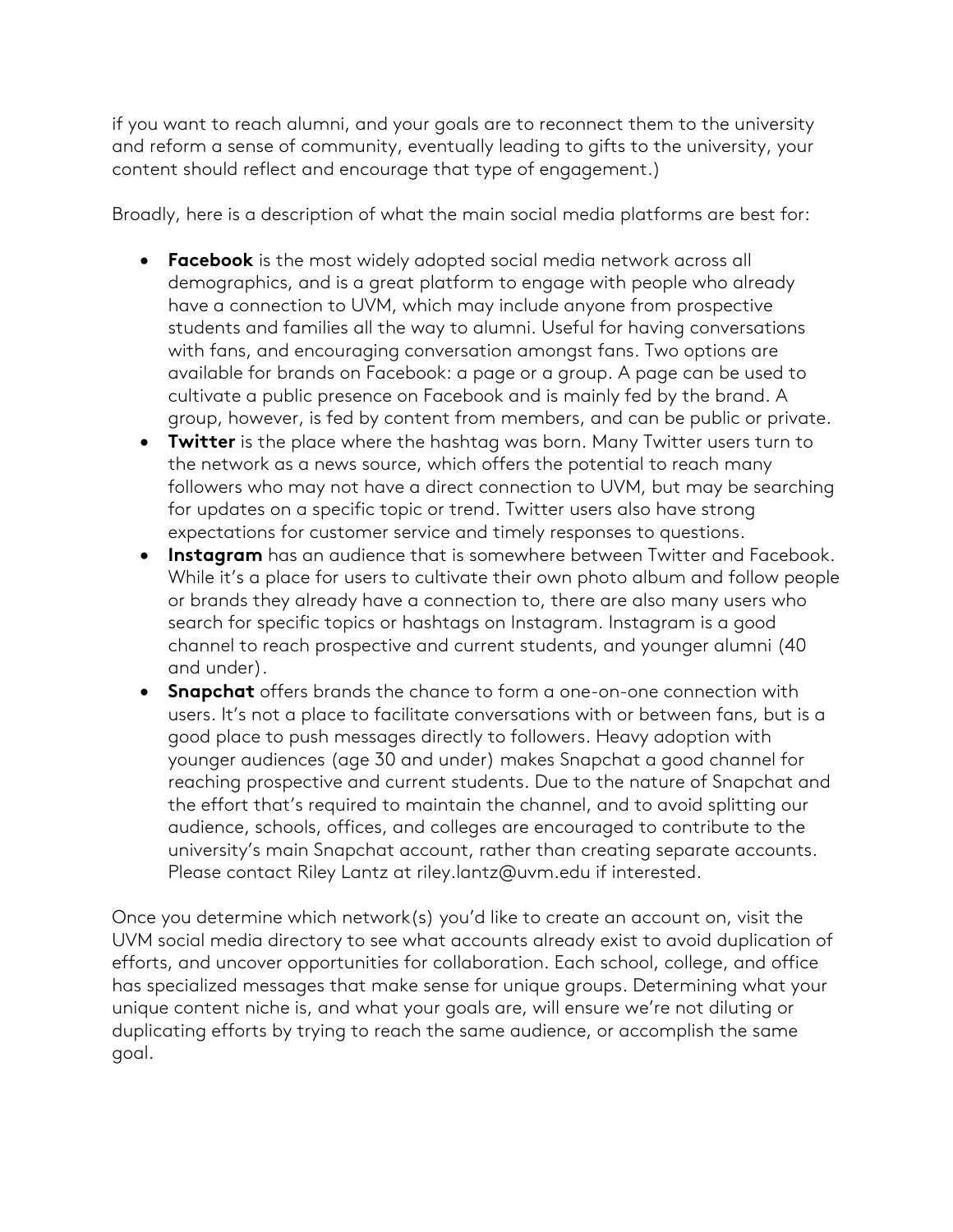if you want to reach alumni, and your goals are to reconnect them to the university and reform a sense of community, eventually leading to gifts to the university, your content should reflect and encourage that type of engagement.)

Broadly, here is a description of what the main social media platforms are best for:

- **Facebook** is the most widely adopted social media network across all demographics, and is a great platform to engage with people who already have a connection to UVM, which may include anyone from prospective students and families all the way to alumni. Useful for having conversations with fans, and encouraging conversation amongst fans. Two options are available for brands on Facebook: a page or a group. A page can be used to cultivate a public presence on Facebook and is mainly fed by the brand. A group, however, is fed by content from members, and can be public or private.
- **Twitter** is the place where the hashtag was born. Many Twitter users turn to the network as a news source, which offers the potential to reach many followers who may not have a direct connection to UVM, but may be searching for updates on a specific topic or trend. Twitter users also have strong expectations for customer service and timely responses to questions.
- **Instagram** has an audience that is somewhere between Twitter and Facebook. While it's a place for users to cultivate their own photo album and follow people or brands they already have a connection to, there are also many users who search for specific topics or hashtags on Instagram. Instagram is a good channel to reach prospective and current students, and younger alumni (40 and under).
- **Snapchat** offers brands the chance to form a one-on-one connection with users. It's not a place to facilitate conversations with or between fans, but is a good place to push messages directly to followers. Heavy adoption with younger audiences (age 30 and under) makes Snapchat a good channel for reaching prospective and current students. Due to the nature of Snapchat and the effort that's required to maintain the channel, and to avoid splitting our audience, schools, offices, and colleges are encouraged to contribute to the university's main Snapchat account, rather than creating separate accounts. Please contact Riley Lantz at [riley.lantz@uvm.edu](mailto:riley.lantz@uvm.edu) if interested.

Once you determine which network(s) you'd like to create an account on, visit the UVM social media directory to see what accounts already exist to avoid duplication of efforts, and uncover opportunities for collaboration. Each school, college, and office has specialized messages that make sense for unique groups. Determining what your unique content niche is, and what your goals are, will ensure we're not diluting or duplicating efforts by trying to reach the same audience, or accomplish the same goal.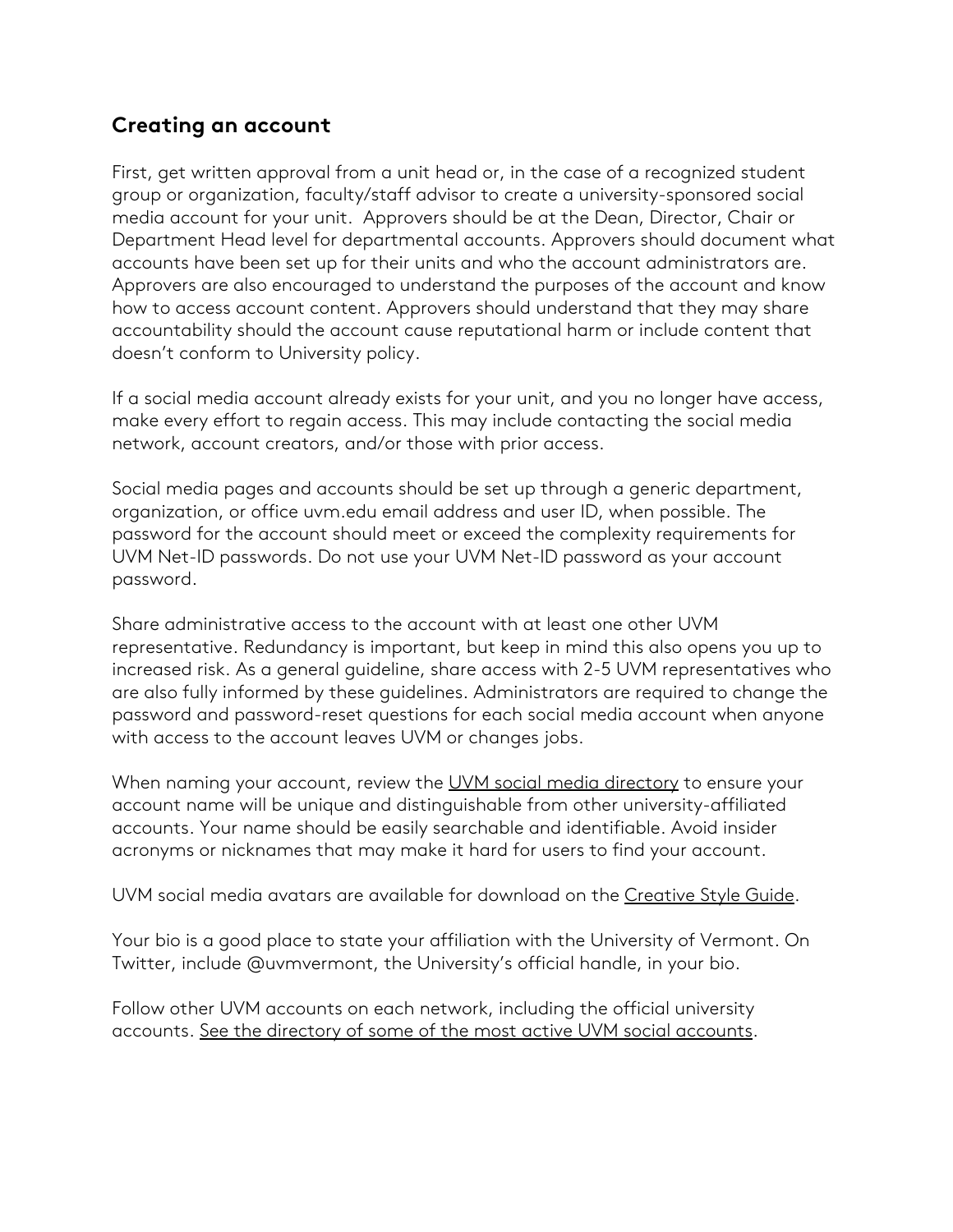#### **Creating an account**

First, get written approval from a unit head or, in the case of a recognized student group or organization, faculty/staff advisor to create a university-sponsored social media account for your unit. Approvers should be at the Dean, Director, Chair or Department Head level for departmental accounts. Approvers should document what accounts have been set up for their units and who the account administrators are. Approvers are also encouraged to understand the purposes of the account and know how to access account content. Approvers should understand that they may share accountability should the account cause reputational harm or include content that doesn't conform to University policy.

If a social media account already exists for your unit, and you no longer have access, make every effort to regain access. This may include contacting the social media network, account creators, and/or those with prior access.

Social media pages and accounts should be set up through a generic department, organization, or office uvm.edu email address and user ID, when possible. The password for the account should meet or exceed the complexity requirements for UVM Net-ID passwords. Do not use your UVM Net-ID password as your account password.

Share administrative access to the account with at least one other UVM representative. Redundancy is important, but keep in mind this also opens you up to increased risk. As a general guideline, share access with 2-5 UVM representatives who are also fully informed by these guidelines. Administrators are required to change the password and password-reset questions for each social media account when anyone with access to the account leaves UVM or changes jobs.

When naming your account, review the [UVM social media directory](https://www.uvm.edu/uvmnews/social-media-directory) to ensure your account name will be unique and distinguishable from other university-affiliated accounts. Your name should be easily searchable and identifiable. Avoid insider acronyms or nicknames that may make it hard for users to find your account.

UVM social media avatars are available for download on the [Creative Style Guide](https://www.uvm.edu/creative_styleguide/downloads_and_examples).

Your bio is a good place to state your affiliation with the University of Vermont. On Twitter, include @uvmvermont, the University's official handle, in your bio.

Follow other UVM accounts on each network, including the official university accounts. [See the directory of some of the most active UVM social accounts](https://www.uvm.edu/uvmnews/social-media-directory).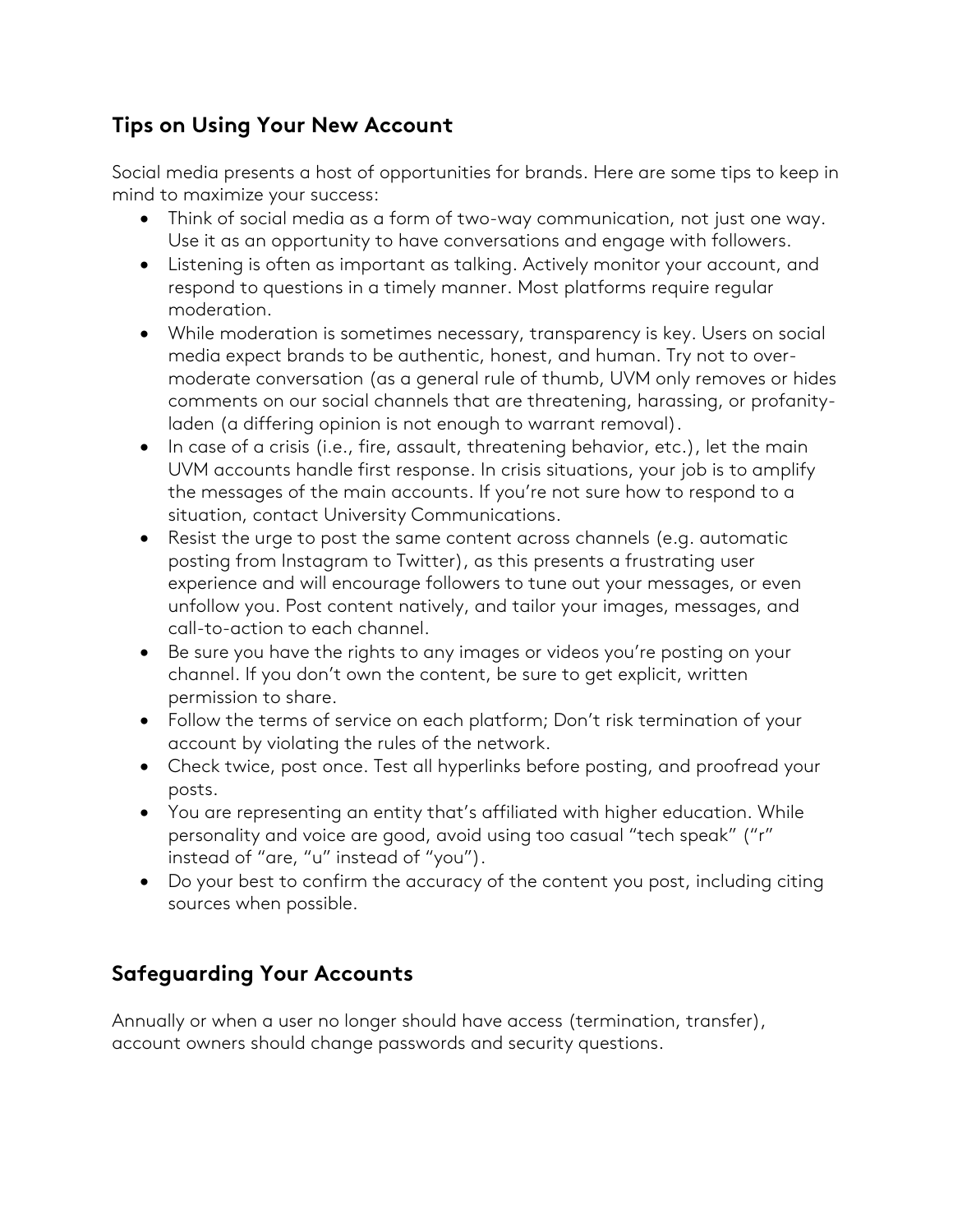# **Tips on Using Your New Account**

Social media presents a host of opportunities for brands. Here are some tips to keep in mind to maximize your success:

- Think of social media as a form of two-way communication, not just one way. Use it as an opportunity to have conversations and engage with followers.
- Listening is often as important as talking. Actively monitor your account, and respond to questions in a timely manner. Most platforms require regular moderation.
- While moderation is sometimes necessary, transparency is key. Users on social media expect brands to be authentic, honest, and human. Try not to overmoderate conversation (as a general rule of thumb, UVM only removes or hides comments on our social channels that are threatening, harassing, or profanityladen (a differing opinion is not enough to warrant removal).
- In case of a crisis (i.e., fire, assault, threatening behavior, etc.), let the main UVM accounts handle first response. In crisis situations, your job is to amplify the messages of the main accounts. If you're not sure how to respond to a situation, contact University Communications.
- Resist the urge to post the same content across channels (e.g. automatic posting from Instagram to Twitter), as this presents a frustrating user experience and will encourage followers to tune out your messages, or even unfollow you. Post content natively, and tailor your images, messages, and call-to-action to each channel.
- Be sure you have the rights to any images or videos you're posting on your channel. If you don't own the content, be sure to get explicit, written permission to share.
- Follow the terms of service on each platform; Don't risk termination of your account by violating the rules of the network.
- Check twice, post once. Test all hyperlinks before posting, and proofread your posts.
- You are representing an entity that's affiliated with higher education. While personality and voice are good, avoid using too casual "tech speak" ("r" instead of "are, "u" instead of "you").
- Do your best to confirm the accuracy of the content you post, including citing sources when possible.

# **Safeguarding Your Accounts**

Annually or when a user no longer should have access (termination, transfer), account owners should change passwords and security questions.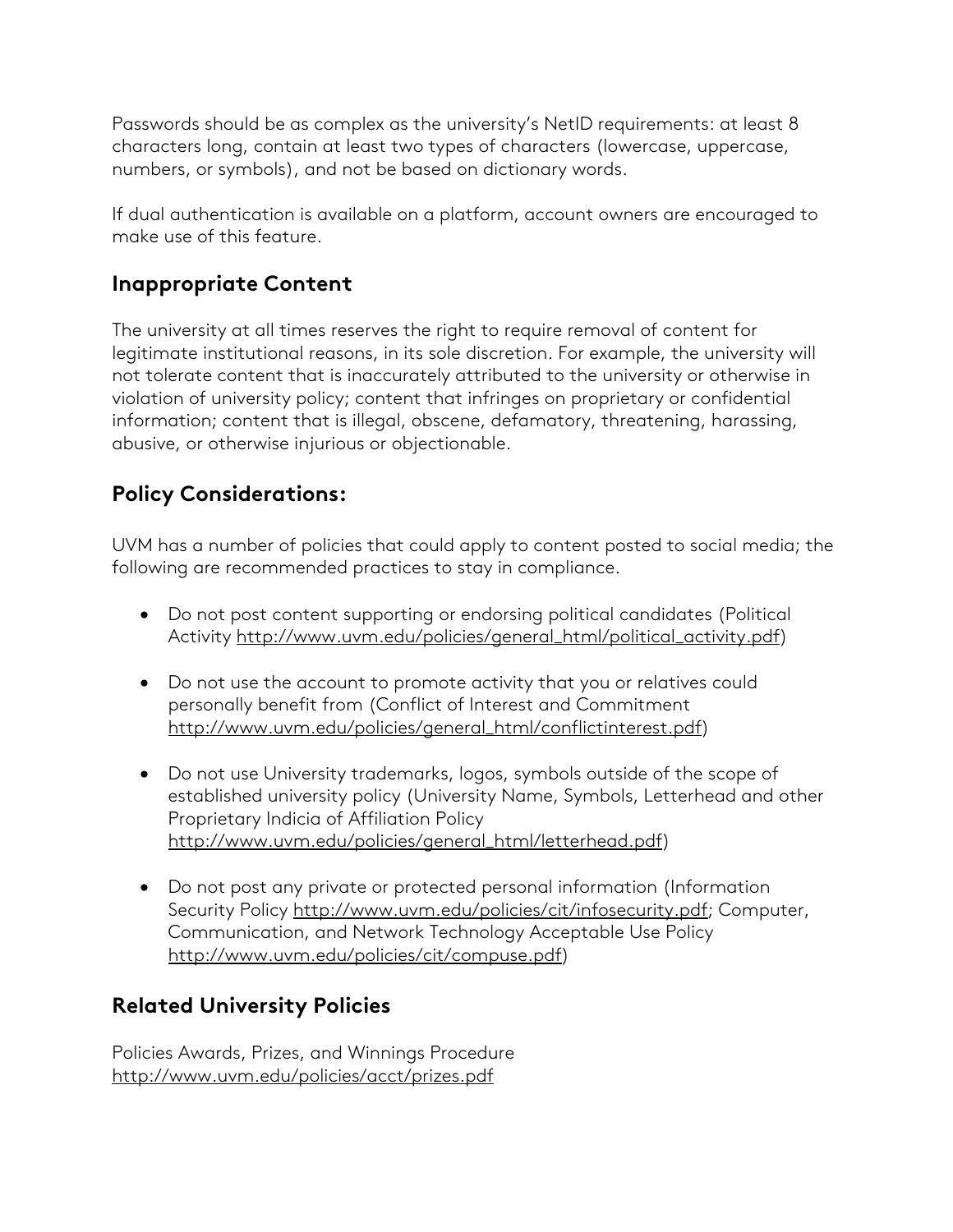Passwords should be as complex as the university's NetID requirements: at least 8 characters long, contain at least two types of characters (lowercase, uppercase, numbers, or symbols), and not be based on dictionary words.

If dual authentication is available on a platform, account owners are encouraged to make use of this feature.

### **Inappropriate Content**

The university at all times reserves the right to require removal of content for legitimate institutional reasons, in its sole discretion. For example, the university will not tolerate content that is inaccurately attributed to the university or otherwise in violation of university policy; content that infringes on proprietary or confidential information; content that is illegal, obscene, defamatory, threatening, harassing, abusive, or otherwise injurious or objectionable.

### **Policy Considerations:**

UVM has a number of policies that could apply to content posted to social media; the following are recommended practices to stay in compliance.

- Do not post content supporting or endorsing political candidates (Political Activity [http://www.uvm.edu/policies/general\\_html/political\\_activity.pdf\)](https://www.uvm.edu/sites/default/files/UVM-Policies/policies/political_activity.pdf)
- Do not use the account to promote activity that you or relatives could personally benefit from (Conflict of Interest and Commitment [http://www.uvm.edu/policies/general\\_html/conflictinterest.pdf\)](https://www.uvm.edu/sites/default/files/UVM-Policies/policies/conflictinterest.pdf)
- Do not use University trademarks, logos, symbols outside of the scope of established university policy (University Name, Symbols, Letterhead and other Proprietary Indicia of Affiliation Policy [http://www.uvm.edu/policies/general\\_html/letterhead.pdf\)](https://www.uvm.edu/sites/default/files/UVM-Policies/policies/letterhead.pdf)
- Do not post any private or protected personal information (Information Security Policy [http://www.uvm.edu/policies/cit/infosecurity.pdf;](https://www.uvm.edu/sites/default/files/UVM-Policies/policies/infosecurity.pdf) Computer, Communication, and Network Technology Acceptable Use Policy [http://www.uvm.edu/policies/cit/compuse.pdf\)](https://www.uvm.edu/sites/default/files/UVM-Policies/policies/compuse.pdf)

### **Related University Policies**

Policies Awards, Prizes, and Winnings Procedure [http://www.uvm.edu/policies/acct/prizes.pdf](https://www.uvm.edu/sites/default/files/UVM-Policies/policies/prizes.pdf)